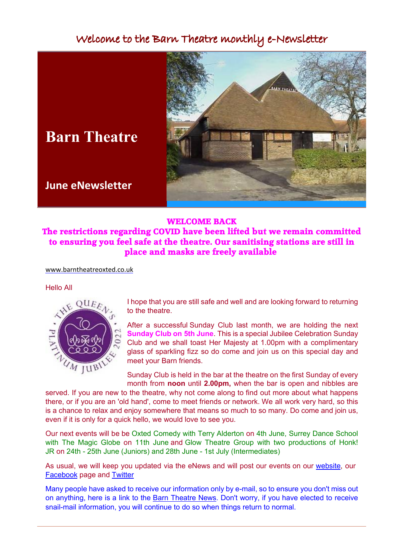# Welcome to the Barn Theatre monthly e-Newsletter



# **Barn Theatre**

## **June eNewsletter**

## **WELCOME BACK**

**The restrictions regarding COVID have been lifted but we remain committed to ensuring you feel safe at the theatre. Our sanitising stations are still in place and masks are freely available**

[www.barntheatreoxted.co.u](https://www.barntheatreoxted.co.uk/)[k](www.barntheatreoxted.co.uk)

#### Hello All



I hope that you are still safe and well and are looking forward to returning to the theatre.

After a successful Sunday Club last month, we are holding the next **Sunday Club on 5th June**. This is a special Jubilee Celebration Sunday Club and we shall toast Her Majesty at 1.00pm with a complimentary glass of sparkling fizz so do come and join us on this special day and meet your Barn friends.

Sunday Club is held in the bar at the theatre on the first Sunday of every month from **noon** until **2.00pm,** when the bar is open and nibbles are

served. If you are new to the theatre, why not come along to find out more about what happens there, or if you are an 'old hand', come to meet friends or network. We all work very hard, so this is a chance to relax and enjoy somewhere that means so much to so many. Do come and join us, even if it is only for a quick hello, we would love to see you.

Our next events will be be Oxted Comedy with Terry Alderton on 4th June, Surrey Dance School with The Magic Globe on 11th June and Glow Theatre Group with two productions of Honk! JR on 24th - 25th June (Juniors) and 28th June - 1st July (Intermediates)

As usual, we will keep you updated via the eNews and will post our events on our [website,](https://www.barntheatreoxted.co.uk/) our [Facebook](https://facebook.com/barntheatreoxted) page and [Twitter](https://twitter.com/BarnOxted)

Many people have asked to receive our information only by e-mail, so to ensure you don't miss out on anything, here is a link to the [Barn Theatre News.](https://www.barntheatreoxted.co.uk/BTN_Feb22.pdf) Don't worry, if you have elected to receive snail-mail information, you will continue to do so when things return to normal.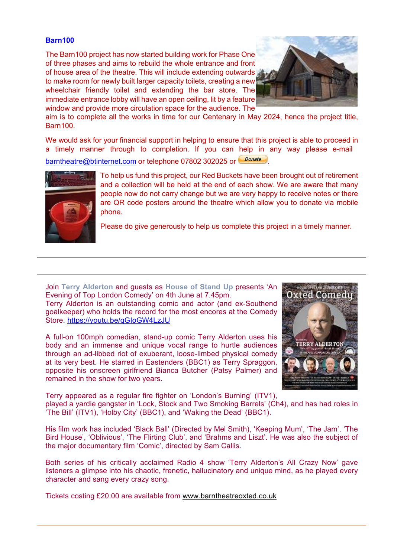### **Barn100**

The Barn100 project has now started building work for Phase One of three phases and aims to rebuild the whole entrance and front of house area of the theatre. This will include extending outwards to make room for newly built larger capacity toilets, creating a new wheelchair friendly toilet and extending the bar store. The immediate entrance lobby will have an open ceiling, lit by a feature window and provide more circulation space for the audience. The



aim is to complete all the works in time for our Centenary in May 2024, hence the project title, Barn100.

We would ask for your financial support in helping to ensure that this project is able to proceed in a timely manner through to completion. If you can help in any way please e-mail [barntheatre@btinternet.com](mailto:barntheatre@btinternet.com) or telephone 07802 302025 or Donate



To help us fund this project, our Red Buckets have been brought out of retirement and a collection will be held at the end of each show. We are aware that many people now do not carry change but we are very happy to receive notes or there are QR code posters around the theatre which allow you to donate via mobile phone.

Please do give generously to help us complete this project in a timely manner.

Join **Terry Alderton** and guests as **House of Stand Up** presents 'An Evening of Top London Comedy' on 4th June at 7.45pm.

Terry Alderton is an outstanding comic and actor (and ex-Southend goalkeeper) who holds the record for the most encores at the Comedy Store. <https://youtu.be/qGIoGW4LzJU>

A full-on 100mph comedian, stand-up comic Terry Alderton uses his body and an immense and unique vocal range to hurtle audiences through an ad-libbed riot of exuberant, loose-limbed physical comedy at its very best. He starred in Eastenders (BBC1) as Terry Spraggon, opposite his onscreen girlfriend Bianca Butcher (Patsy Palmer) and remained in the show for two years.



Terry appeared as a regular fire fighter on 'London's Burning' (ITV1), played a yardie gangster in 'Lock, Stock and Two Smoking Barrels' (Ch4), and has had roles in 'The Bill' (ITV1), 'Holby City' (BBC1), and 'Waking the Dead' (BBC1).

His film work has included 'Black Ball' (Directed by Mel Smith), 'Keeping Mum', 'The Jam', 'The Bird House', 'Oblivious', 'The Flirting Club', and 'Brahms and Liszt'. He was also the subject of the major documentary film 'Comic', directed by Sam Callis.

Both series of his critically acclaimed Radio 4 show 'Terry Alderton's All Crazy Now' gave listeners a glimpse into his chaotic, frenetic, hallucinatory and unique mind, as he played every character and sang every crazy song.

Tickets costing £20.00 are available from [www.barntheatreoxted.co.uk](https://www.ticketsource.co.uk/barn-theatre/t-yrpkqx)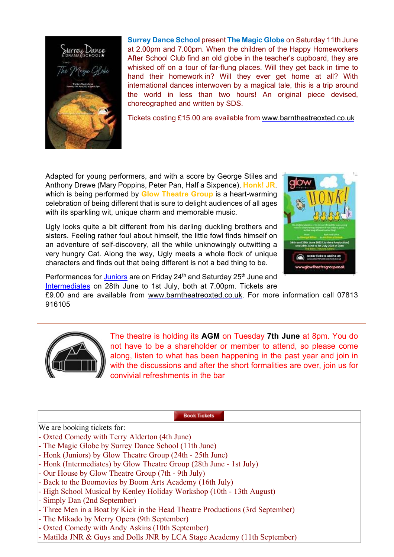

**Surrey Dance School** present **The Magic Globe** on Saturday 11th June at 2.00pm and 7.00pm. When the children of the Happy Homeworkers After School Club find an old globe in the teacher's cupboard, they are whisked off on a tour of far-flung places. Will they get back in time to hand their homework in? Will they ever get home at all? With international dances interwoven by a magical tale, this is a trip around the world in less than two hours! An original piece devised, choreographed and written by SDS.

Tickets costing £15.00 are available from [www.barntheatreoxted.co.uk](https://www.ticketsource.co.uk/barn-theatre/e-rxerrr)

Adapted for young performers, and with a score by George Stiles and Anthony Drewe (Mary Poppins, Peter Pan, Half a Sixpence), **Honk! JR**. which is being performed by **Glow Theatre Group** is a heart-warming celebration of being different that is sure to delight audiences of all ages with its sparkling wit, unique charm and memorable music.

Ugly looks quite a bit different from his darling duckling brothers and sisters. Feeling rather foul about himself, the little fowl finds himself on an adventure of self-discovery, all the while unknowingly outwitting a very hungry Cat. Along the way, Ugly meets a whole flock of unique characters and finds out that being different is not a bad thing to be.



Performances for [Juniors](https://www.ticketsource.co.uk/barn-theatre/e-lppzlk) are on Friday 24<sup>th</sup> and Saturday 25<sup>th</sup> June and [Intermediates](https://www.ticketsource.co.uk/barn-theatre/e-ammpyg) on 28th June to 1st July, both at 7.00pm. Tickets are

£9.00 and are available from [www.barntheatreoxted.co.uk](https://www.ticketsource.co.uk/barn-theatre). For more information call 07813 916105



The theatre is holding its **AGM** on Tuesday **7th June** at 8pm. You do not have to be a shareholder or member to attend, so please come along, listen to what has been happening in the past year and join in with the discussions and after the short formalities are over, join us for convivial refreshments in the bar

**Book Tickets** 

We are booking tickets for:

- Oxted Comedy with Terry Alderton (4th June)
- The Magic Globe by Surrey Dance School (11th June)
- Honk (Juniors) by Glow Theatre Group (24th 25th June)
- Honk (Intermediates) by Glow Theatre Group (28th June 1st July)
- Our House by Glow Theatre Group (7th 9th July)
- Back to the Boomovies by Boom Arts Academy (16th July)
- High School Musical by Kenley Holiday Workshop (10th 13th August)
- Simply Dan (2nd September)
- Three Men in a Boat by Kick in the Head Theatre Productions (3rd September)
- The Mikado by Merry Opera (9th September)
- Oxted Comedy with Andy Askins (10th September)
- Matilda JNR & Guys and Dolls JNR by LCA Stage Academy (11th September)